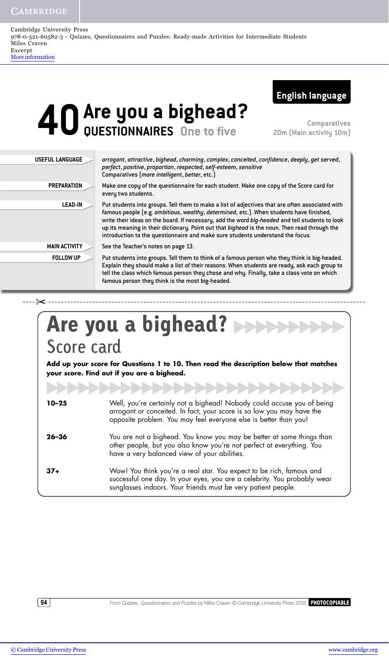CAMBRIDGE

---- ⊱< --

| Cambridge University Press                                                                               |
|----------------------------------------------------------------------------------------------------------|
| 978-0-521-60582-3 - Quizzes, Questionnaires and Puzzles: Ready-made Activities for Intermediate Students |
| Miles Craven                                                                                             |
| Excerpt                                                                                                  |
| More information                                                                                         |



## **40 Are you a bighead?**<br>Westlonnaires One to five **QUESTIONNAIRES One to five**

**Comparatives 20m (Main activity 10m)**

| <b>USEFUL LANGUAGE</b> | arrogant, attractive, bighead, charming, complex, conceited, confidence, deeply, get served,<br>perfect, positive, proportion, respected, self-esteem, sensitive<br>Comparatives (more intelligent, better, etc.)                                                                                                                                                                                                                                                                |  |  |  |
|------------------------|----------------------------------------------------------------------------------------------------------------------------------------------------------------------------------------------------------------------------------------------------------------------------------------------------------------------------------------------------------------------------------------------------------------------------------------------------------------------------------|--|--|--|
| <b>PREPARATION</b>     | Make one copy of the questionnaire for each student. Make one copy of the Score card for<br>every two students.                                                                                                                                                                                                                                                                                                                                                                  |  |  |  |
| <b>LEAD-IN</b>         | Put students into groups. Tell them to make a list of adjectives that are often associated with<br>famous people (e.g. ambitious, wealthy, determined, etc.). When students have finished,<br>write their ideas on the board. If necessary, add the word big-headed and tell students to look<br>up its meaning in their dictionary. Point out that bighead is the noun. Then read through the<br>introduction to the questionnaire and make sure students understand the focus. |  |  |  |
| <b>MAIN ACTIVITY</b>   | See the Teacher's notes on page 13.                                                                                                                                                                                                                                                                                                                                                                                                                                              |  |  |  |
| <b>FOLLOW UP</b>       | Put students into groups. Tell them to think of a famous person who they think is big-headed.<br>Explain they should make a list of their reasons. When students are ready, ask each group to<br>tell the class which famous person they chose and why. Finally, take a class vote on which<br>famous person they think is the most big-headed.                                                                                                                                  |  |  |  |

## Score card **Are you a bighead?**

**Add up your score for Questions 1 to 10. Then read the description below that matches your score. Find out if you are a bighead.**

| $10 - 25$ | Well, you're certainly not a bighead! Nobody could accuse you of being<br>arrogant or conceited. In fact, your score is so low you may have the<br>opposite problem. You may feel everyone else is better than you! |
|-----------|---------------------------------------------------------------------------------------------------------------------------------------------------------------------------------------------------------------------|
| $26 - 36$ | You are not a bighead. You know you may be better at some things than<br>other people, but you also know you're not perfect at everything. You<br>have a very balanced view of your abilities.                      |
| $37+$     | Wow! You think you're a real star. You expect to be rich, famous and<br>successful one day. In your eyes, you are a celebrity. You probably wear<br>sunglasses indoors. Your friends must be very patient people.   |